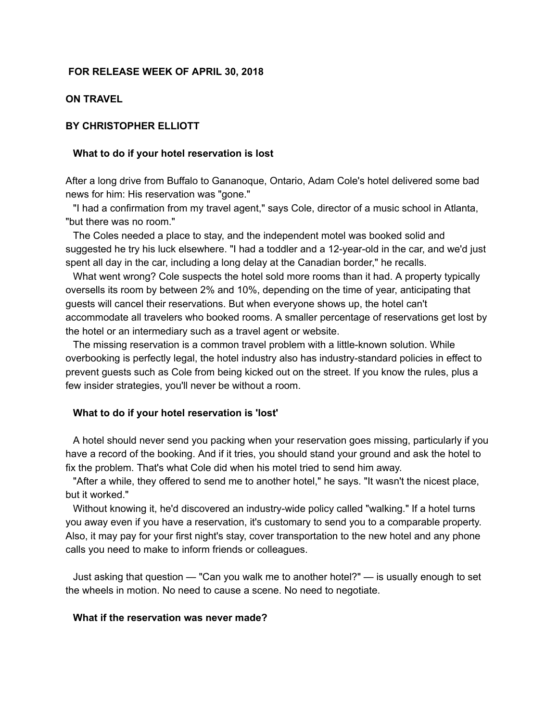## **FOR RELEASE WEEK OF APRIL 30, 2018**

# **ON TRAVEL**

# **BY CHRISTOPHER ELLIOTT**

# **What to do if your hotel reservation is lost**

After a long drive from Buffalo to Gananoque, Ontario, Adam Cole's hotel delivered some bad news for him: His reservation was "gone."

"I had a confirmation from my travel agent," says Cole, director of a music school in Atlanta, "but there was no room."

The Coles needed a place to stay, and the independent motel was booked solid and suggested he try his luck elsewhere. "I had a toddler and a 12-year-old in the car, and we'd just spent all day in the car, including a long delay at the Canadian border," he recalls.

What went wrong? Cole suspects the hotel sold more rooms than it had. A property typically oversells its room by between 2% and 10%, depending on the time of year, anticipating that guests will cancel their reservations. But when everyone shows up, the hotel can't accommodate all travelers who booked rooms. A smaller percentage of reservations get lost by the hotel or an intermediary such as a travel agent or website.

The missing reservation is a common travel problem with a little-known solution. While overbooking is perfectly legal, the hotel industry also has industrystandard policies in effect to prevent guests such as Cole from being kicked out on the street. If you know the rules, plus a few insider strategies, you'll never be without a room.

#### **What to do if your hotel reservation is 'lost'**

A hotel should never send you packing when your reservation goes missing, particularly if you have a record of the booking. And if it tries, you should stand your ground and ask the hotel to fix the problem. That's what Cole did when his motel tried to send him away.

"After a while, they offered to send me to another hotel," he says. "It wasn't the nicest place, but it worked."

Without knowing it, he'd discovered an industry-wide policy called "walking." If a hotel turns you away even if you have a reservation, it's customary to send you to a comparable property. Also, it may pay for your first night's stay, cover transportation to the new hotel and any phone calls you need to make to inform friends or colleagues.

Just asking that question — "Can you walk me to another hotel?" — is usually enough to set the wheels in motion. No need to cause a scene. No need to negotiate.

## **What if the reservation was never made?**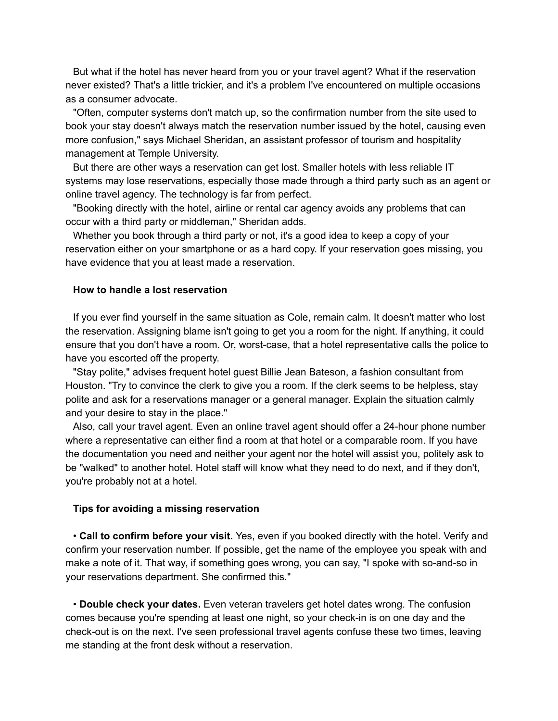But what if the hotel has never heard from you or your travel agent? What if the reservation never existed? That's a little trickier, and it's a problem I've encountered on multiple occasions as a consumer advocate.

"Often, computer systems don't match up, so the confirmation number from the site used to book your stay doesn't always match the reservation number issued by the hotel, causing even more confusion," says Michael Sheridan, an assistant professor of tourism and hospitality management at Temple University.

But there are other ways a reservation can get lost. Smaller hotels with less reliable IT systems may lose reservations, especially those made through a third party such as an agent or online travel agency. The technology is far from perfect.

"Booking directly with the hotel, airline or rental car agency avoids any problems that can occur with a third party or middleman," Sheridan adds.

Whether you book through a third party or not, it's a good idea to keep a copy of your reservation either on your smartphone or as a hard copy. If your reservation goes missing, you have evidence that you at least made a reservation.

# **How to handle a lost reservation**

If you ever find yourself in the same situation as Cole, remain calm. It doesn't matter who lost the reservation. Assigning blame isn't going to get you a room for the night. If anything, it could ensure that you don't have a room. Or, worst-case, that a hotel representative calls the police to have you escorted off the property.

"Stay polite," advises frequent hotel guest Billie Jean Bateson, a fashion consultant from Houston. "Try to convince the clerk to give you a room. If the clerk seems to be helpless, stay polite and ask for a reservations manager or a general manager. Explain the situation calmly and your desire to stay in the place."

Also, call your travel agent. Even an online travel agent should offer a 24-hour phone number where a representative can either find a room at that hotel or a comparable room. If you have the documentation you need and neither your agent nor the hotel will assist you, politely ask to be "walked" to another hotel. Hotel staff will know what they need to do next, and if they don't, you're probably not at a hotel.

#### **Tips for avoiding a missing reservation**

• **Call to confirm before your visit.** Yes, even if you booked directly with the hotel. Verify and confirm your reservation number. If possible, get the name of the employee you speak with and make a note of it. That way, if something goes wrong, you can say, "I spoke with so-and-so in your reservations department. She confirmed this."

• **Double check your dates.** Even veteran travelers get hotel dates wrong. The confusion comes because you're spending at least one night, so your check-in is on one day and the check-out is on the next. I've seen professional travel agents confuse these two times, leaving me standing at the front desk without a reservation.